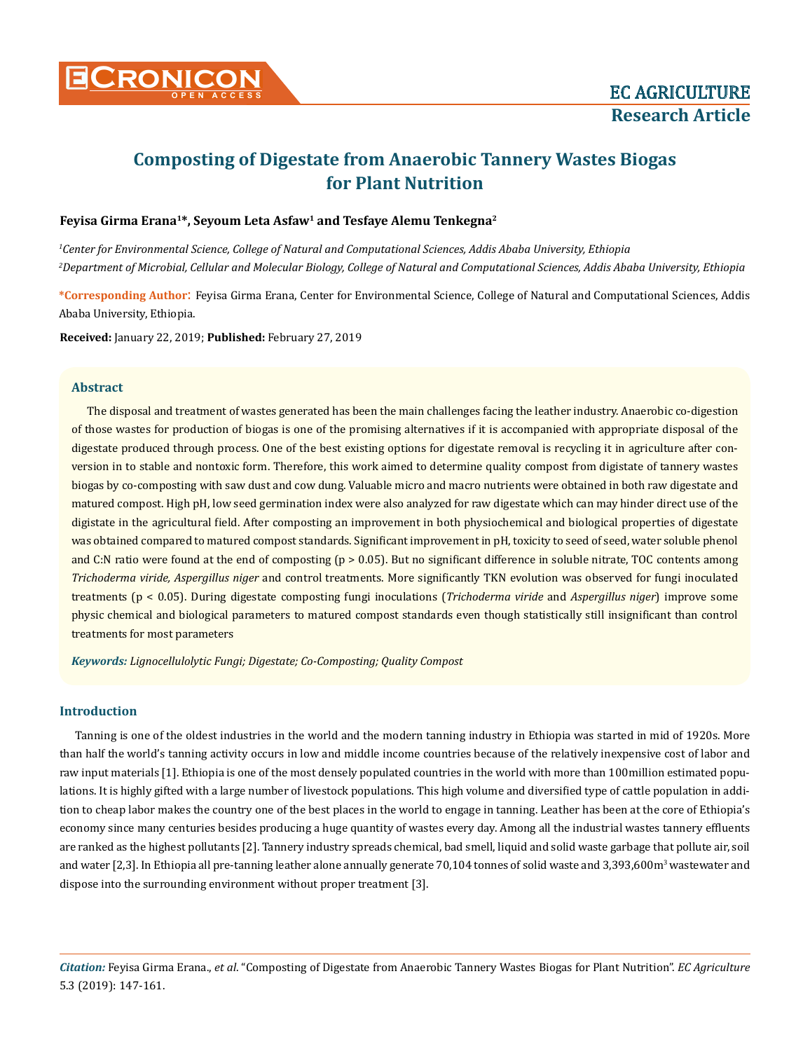

# **Composting of Digestate from Anaerobic Tannery Wastes Biogas for Plant Nutrition**

# Feyisa Girma Erana<sup>1\*</sup>, Seyoum Leta Asfaw<sup>1</sup> and Tesfaye Alemu Tenkegna<sup>2</sup>

*1 Center for Environmental Science, College of Natural and Computational Sciences, Addis Ababa University, Ethiopia 2 Department of Microbial, Cellular and Molecular Biology, College of Natural and Computational Sciences, Addis Ababa University, Ethiopia*

**\*Corresponding Author**: Feyisa Girma Erana, Center for Environmental Science, College of Natural and Computational Sciences, Addis Ababa University, Ethiopia.

**Received:** January 22, 2019; **Published:** February 27, 2019

### **Abstract**

The disposal and treatment of wastes generated has been the main challenges facing the leather industry. Anaerobic co-digestion of those wastes for production of biogas is one of the promising alternatives if it is accompanied with appropriate disposal of the digestate produced through process. One of the best existing options for digestate removal is recycling it in agriculture after conversion in to stable and nontoxic form. Therefore, this work aimed to determine quality compost from digistate of tannery wastes biogas by co-composting with saw dust and cow dung. Valuable micro and macro nutrients were obtained in both raw digestate and matured compost. High pH, low seed germination index were also analyzed for raw digestate which can may hinder direct use of the digistate in the agricultural field. After composting an improvement in both physiochemical and biological properties of digestate was obtained compared to matured compost standards. Significant improvement in pH, toxicity to seed of seed, water soluble phenol and C:N ratio were found at the end of composting (p > 0.05). But no significant difference in soluble nitrate, TOC contents among *Trichoderma viride, Aspergillus niger* and control treatments. More significantly TKN evolution was observed for fungi inoculated treatments (p < 0.05). During digestate composting fungi inoculations (*Trichoderma viride* and *Aspergillus niger*) improve some physic chemical and biological parameters to matured compost standards even though statistically still insignificant than control treatments for most parameters

*Keywords: Lignocellulolytic Fungi; Digestate; Co-Composting; Quality Compost*

# **Introduction**

Tanning is one of the oldest industries in the world and the modern tanning industry in Ethiopia was started in mid of 1920s. More than half the world's tanning activity occurs in low and middle income countries because of the relatively inexpensive cost of labor and raw input materials [1]. Ethiopia is one of the most densely populated countries in the world with more than 100million estimated populations. It is highly gifted with a large number of livestock populations. This high volume and diversified type of cattle population in addition to cheap labor makes the country one of the best places in the world to engage in tanning. Leather has been at the core of Ethiopia's economy since many centuries besides producing a huge quantity of wastes every day. Among all the industrial wastes tannery effluents are ranked as the highest pollutants [2]. Tannery industry spreads chemical, bad smell, liquid and solid waste garbage that pollute air, soil and water [2,3]. In Ethiopia all pre-tanning leather alone annually generate 70,104 tonnes of solid waste and 3,393,600m<sup>3</sup> wastewater and dispose into the surrounding environment without proper treatment [3].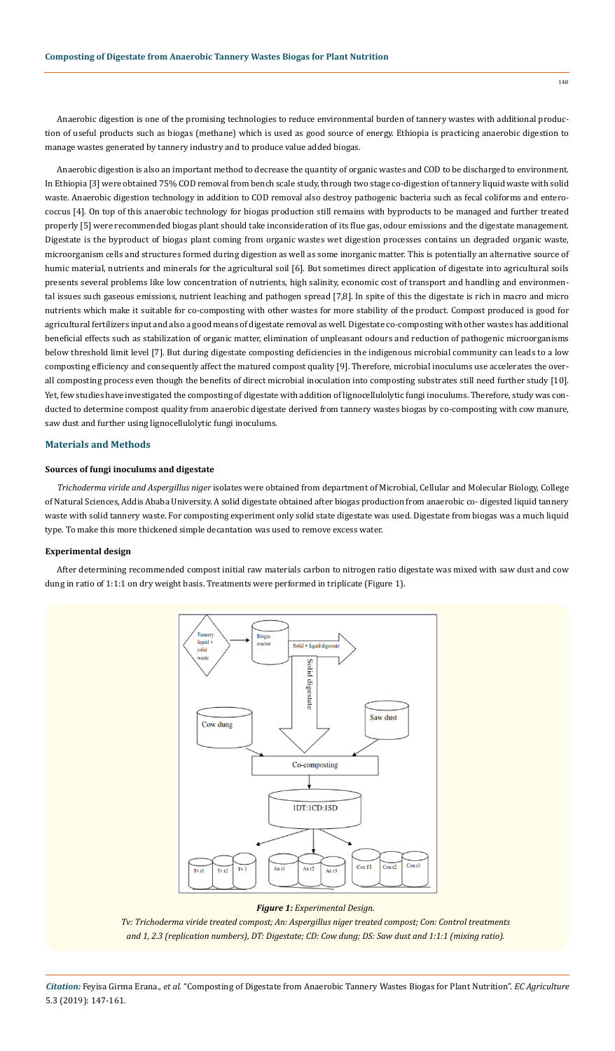Anaerobic digestion is one of the promising technologies to reduce environmental burden of tannery wastes with additional production of useful products such as biogas (methane) which is used as good source of energy. Ethiopia is practicing anaerobic digestion to manage wastes generated by tannery industry and to produce value added biogas.

Anaerobic digestion is also an important method to decrease the quantity of organic wastes and COD to be discharged to environment. In Ethiopia [3] were obtained 75% COD removal from bench scale study, through two stage co-digestion of tannery liquid waste with solid waste. Anaerobic digestion technology in addition to COD removal also destroy pathogenic bacteria such as fecal coliforms and enterococcus [4]. On top of this anaerobic technology for biogas production still remains with byproducts to be managed and further treated properly [5] were recommended biogas plant should take inconsideration of its flue gas, odour emissions and the digestate management. Digestate is the byproduct of biogas plant coming from organic wastes wet digestion processes contains un degraded organic waste, microorganism cells and structures formed during digestion as well as some inorganic matter. This is potentially an alternative source of humic material, nutrients and minerals for the agricultural soil [6]. But sometimes direct application of digestate into agricultural soils presents several problems like low concentration of nutrients, high salinity, economic cost of transport and handling and environmental issues such gaseous emissions, nutrient leaching and pathogen spread [7,8]. In spite of this the digestate is rich in macro and micro nutrients which make it suitable for co-composting with other wastes for more stability of the product. Compost produced is good for agricultural fertilizers input and also a good means of digestate removal as well. Digestate co-composting with other wastes has additional beneficial effects such as stabilization of organic matter, elimination of unpleasant odours and reduction of pathogenic microorganisms below threshold limit level [7]. But during digestate composting deficiencies in the indigenous microbial community can leads to a low composting efficiency and consequently affect the matured compost quality [9]. Therefore, microbial inoculums use accelerates the overall composting process even though the benefits of direct microbial inoculation into composting substrates still need further study [10]. Yet, few studies have investigated the composting of digestate with addition of lignocellulolytic fungi inoculums. Therefore, study was conducted to determine compost quality from anaerobic digestate derived from tannery wastes biogas by co-composting with cow manure, saw dust and further using lignocellulolytic fungi inoculums.

# **Materials and Methods**

# **Sources of fungi inoculums and digestate**

*Trichoderma viride and Aspergillus niger* isolates were obtained from department of Microbial, Cellular and Molecular Biology, College of Natural Sciences, Addis Ababa University. A solid digestate obtained after biogas production from anaerobic co- digested liquid tannery waste with solid tannery waste. For composting experiment only solid state digestate was used. Digestate from biogas was a much liquid type. To make this more thickened simple decantation was used to remove excess water.

### **Experimental design**

After determining recommended compost initial raw materials carbon to nitrogen ratio digestate was mixed with saw dust and cow dung in ratio of 1:1:1 on dry weight basis. Treatments were performed in triplicate (Figure 1).



### *Figure 1: Experimental Design.*

*Tv: Trichoderma viride treated compost; An: Aspergillus niger treated compost; Con: Control treatments and 1, 2.3 (replication numbers), DT: Digestate; CD: Cow dung; DS: Saw dust and 1:1:1 (mixing ratio).*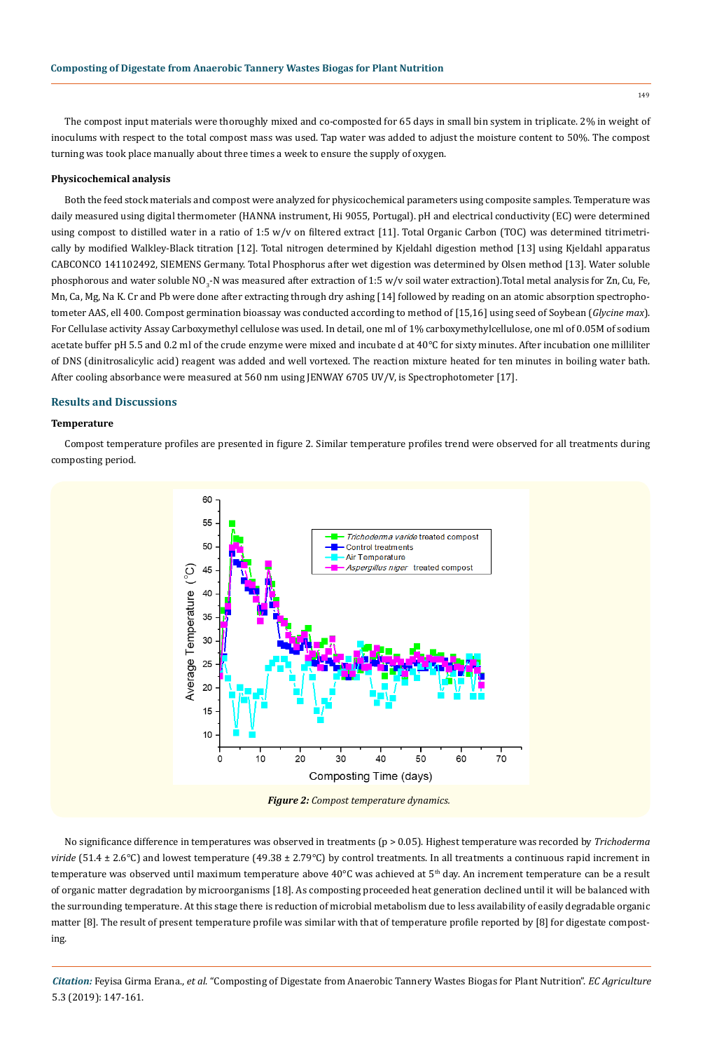The compost input materials were thoroughly mixed and co-composted for 65 days in small bin system in triplicate. 2% in weight of inoculums with respect to the total compost mass was used. Tap water was added to adjust the moisture content to 50%. The compost turning was took place manually about three times a week to ensure the supply of oxygen.

# **Physicochemical analysis**

Both the feed stock materials and compost were analyzed for physicochemical parameters using composite samples. Temperature was daily measured using digital thermometer (HANNA instrument, Hi 9055, Portugal). pH and electrical conductivity (EC) were determined using compost to distilled water in a ratio of 1:5 w/v on filtered extract [11]. Total Organic Carbon (TOC) was determined titrimetrically by modified Walkley-Black titration [12]. Total nitrogen determined by Kjeldahl digestion method [13] using Kjeldahl apparatus CABCONCO 141102492, SIEMENS Germany. Total Phosphorus after wet digestion was determined by Olsen method [13]. Water soluble phosphorous and water soluble NO<sub>3</sub>-N was measured after extraction of 1:5 w/v soil water extraction).Total metal analysis for Zn, Cu, Fe, Mn, Ca, Mg, Na K. Cr and Pb were done after extracting through dry ashing [14] followed by reading on an atomic absorption spectrophotometer AAS, ell 400. Compost germination bioassay was conducted according to method of [15,16] using seed of Soybean (*Glycine max*). For Cellulase activity Assay Carboxymethyl cellulose was used. In detail, one ml of 1% carboxymethylcellulose, one ml of 0.05M of sodium acetate buffer pH 5.5 and 0.2 ml of the crude enzyme were mixed and incubate d at 40°C for sixty minutes. After incubation one milliliter of DNS (dinitrosalicylic acid) reagent was added and well vortexed. The reaction mixture heated for ten minutes in boiling water bath. After cooling absorbance were measured at 560 nm using JENWAY 6705 UV/V, is Spectrophotometer [17].

# **Results and Discussions**

### **Temperature**

Compost temperature profiles are presented in figure 2. Similar temperature profiles trend were observed for all treatments during composting period.



*Figure 2: Compost temperature dynamics.*

No significance difference in temperatures was observed in treatments (p > 0.05). Highest temperature was recorded by *Trichoderma viride* (51.4 ± 2.6°C) and lowest temperature (49.38 ± 2.79°C) by control treatments. In all treatments a continuous rapid increment in temperature was observed until maximum temperature above 40°C was achieved at 5<sup>th</sup> day. An increment temperature can be a result of organic matter degradation by microorganisms [18]. As composting proceeded heat generation declined until it will be balanced with the surrounding temperature. At this stage there is reduction of microbial metabolism due to less availability of easily degradable organic matter [8]. The result of present temperature profile was similar with that of temperature profile reported by [8] for digestate composting.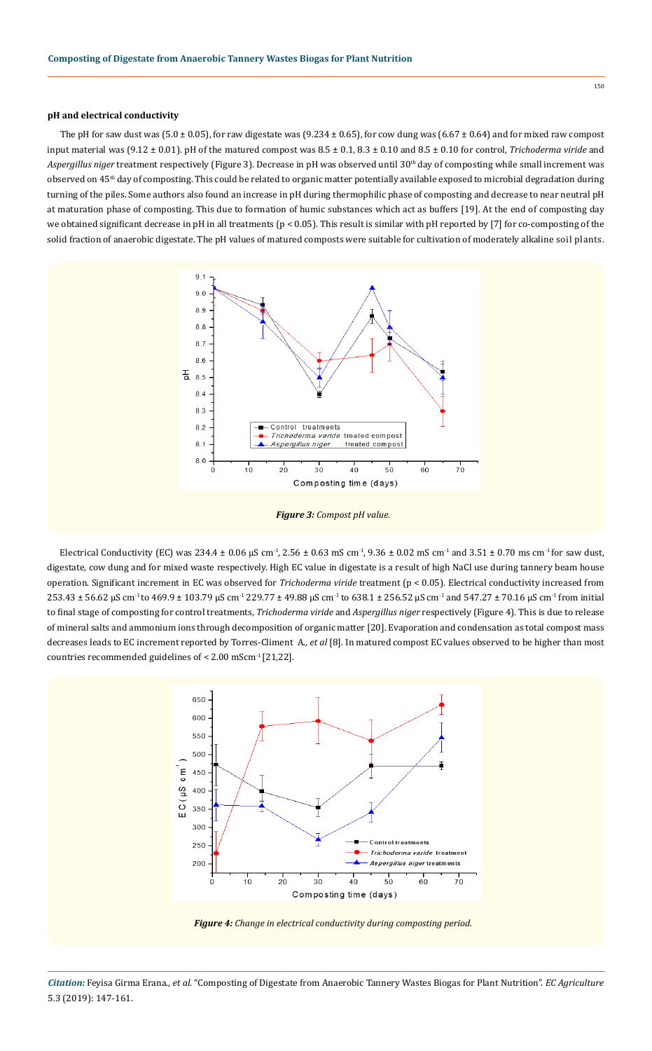# **pH and electrical conductivity**

The pH for saw dust was (5.0  $\pm$  0.05), for raw digestate was (9.234  $\pm$  0.65), for cow dung was (6.67  $\pm$  0.64) and for mixed raw compost input material was (9.12 ± 0.01). pH of the matured compost was 8.5 ± 0.1, 8.3 ± 0.10 and 8.5 ± 0.10 for control, *Trichoderma viride* and *Aspergillus niger* treatment respectively (Figure 3). Decrease in pH was observed until 30th day of composting while small increment was observed on 45<sup>th</sup> day of composting. This could be related to organic matter potentially available exposed to microbial degradation during turning of the piles. Some authors also found an increase in pH during thermophilic phase of composting and decrease to near neutral pH at maturation phase of composting. This due to formation of humic substances which act as buffers [19]. At the end of composting day we obtained significant decrease in pH in all treatments (p < 0.05). This result is similar with pH reported by [7] for co-composting of the solid fraction of anaerobic digestate. The pH values of matured composts were suitable for cultivation of moderately alkaline soil plants.





Electrical Conductivity (EC) was  $234.4 \pm 0.06$   $\mu$ S cm<sup>-1</sup>, 2.56  $\pm$  0.63 mS cm<sup>-1</sup>, 9.36  $\pm$  0.02 mS cm<sup>-1</sup> and 3.51  $\pm$  0.70 ms cm<sup>-1</sup> for saw dust, digestate, cow dung and for mixed waste respectively. High EC value in digestate is a result of high NaCl use during tannery beam house operation. Significant increment in EC was observed for *Trichoderma viride* treatment (p < 0.05). Electrical conductivity increased from 253.43 ± 56.62 µS cm-1 to 469.9 ± 103.79 µS cm-1 229.77 ± 49.88 µS cm-1 to 638.1 ± 256.52 µS cm-1 and 547.27 ± 70.16 µS cm-1 from initial to final stage of composting for control treatments, *Trichoderma viride* and *Aspergillus niger* respectively (Figure 4). This is due to release of mineral salts and ammonium ions through decomposition of organic matter [20]. Evaporation and condensation as total compost mass decreases leads to EC increment reported by Torres-Climent A., *et al* [8]. In matured compost EC values observed to be higher than most countries recommended guidelines of <  $2.00$  mScm<sup>-1</sup> [21,22].

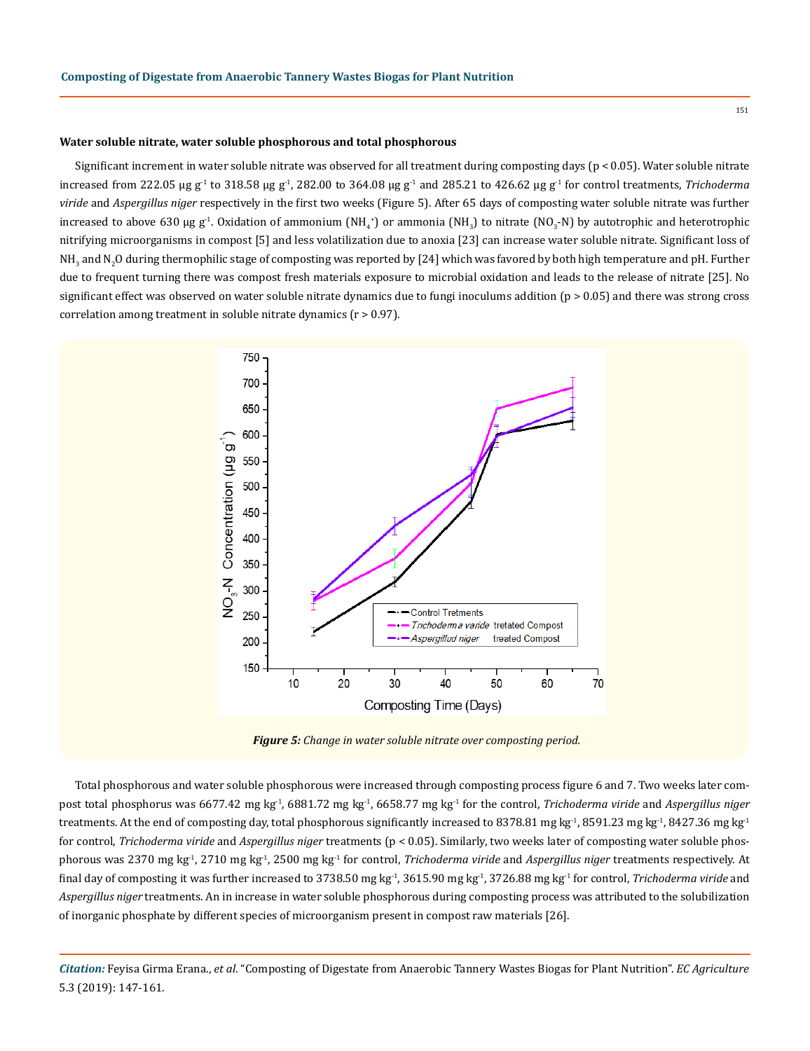#### **Water soluble nitrate, water soluble phosphorous and total phosphorous**

Significant increment in water soluble nitrate was observed for all treatment during composting days (p < 0.05). Water soluble nitrate increased from 222.05 µg g<sup>-1</sup> to 318.58 µg g<sup>-1</sup>, 282.00 to 364.08 µg g<sup>-1</sup> and 285.21 to 426.62 µg g<sup>-1</sup> for control treatments, *Trichoderma viride* and *Aspergillus niger* respectively in the first two weeks (Figure 5). After 65 days of composting water soluble nitrate was further increased to above 630 µg g<sup>-1</sup>. Oxidation of ammonium (NH<sub>4</sub>+) or ammonia (NH<sub>3</sub>) to nitrate (NO<sub>3</sub>-N) by autotrophic and heterotrophic nitrifying microorganisms in compost [5] and less volatilization due to anoxia [23] can increase water soluble nitrate. Significant loss of NH<sub>3</sub> and N<sub>2</sub>O during thermophilic stage of composting was reported by [24] which was favored by both high temperature and pH. Further due to frequent turning there was compost fresh materials exposure to microbial oxidation and leads to the release of nitrate [25]. No significant effect was observed on water soluble nitrate dynamics due to fungi inoculums addition (p > 0.05) and there was strong cross correlation among treatment in soluble nitrate dynamics (r > 0.97).



*Figure 5: Change in water soluble nitrate over composting period.*

Total phosphorous and water soluble phosphorous were increased through composting process figure 6 and 7. Two weeks later compost total phosphorus was 6677.42 mg kg<sup>-1</sup>, 6881.72 mg kg<sup>-1</sup>, 6658.77 mg kg<sup>-1</sup> for the control, *Trichoderma viride* and *Aspergillus niger* treatments. At the end of composting day, total phosphorous significantly increased to 8378.81 mg kg<sup>-1</sup>, 8591.23 mg kg<sup>-1</sup>, 8427.36 mg kg<sup>-1</sup> for control, *Trichoderma viride* and *Aspergillus niger* treatments (p < 0.05). Similarly, two weeks later of composting water soluble phosphorous was 2370 mg kg-1, 2710 mg kg-1, 2500 mg kg-1 for control, *Trichoderma viride* and *Aspergillus niger* treatments respectively. At final day of composting it was further increased to 3738.50 mg kg-1, 3615.90 mg kg-1, 3726.88 mg kg-1 for control, *Trichoderma viride* and *Aspergillus niger* treatments. An in increase in water soluble phosphorous during composting process was attributed to the solubilization of inorganic phosphate by different species of microorganism present in compost raw materials [26].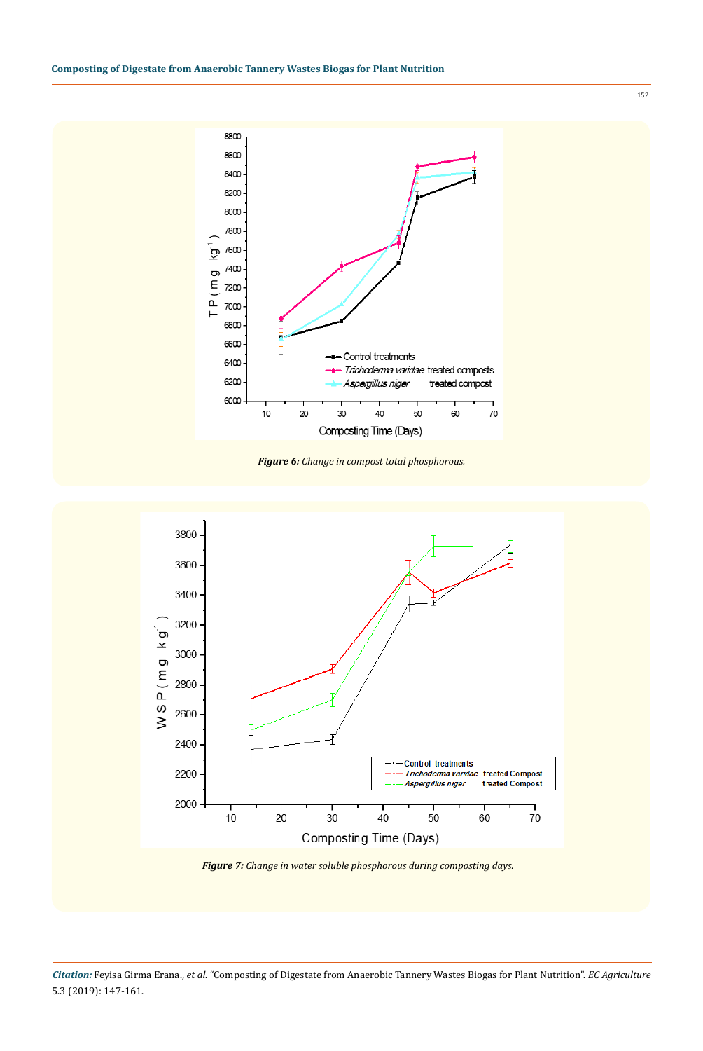

*Figure 6: Change in compost total phosphorous.*



*Figure 7: Change in water soluble phosphorous during composting days.*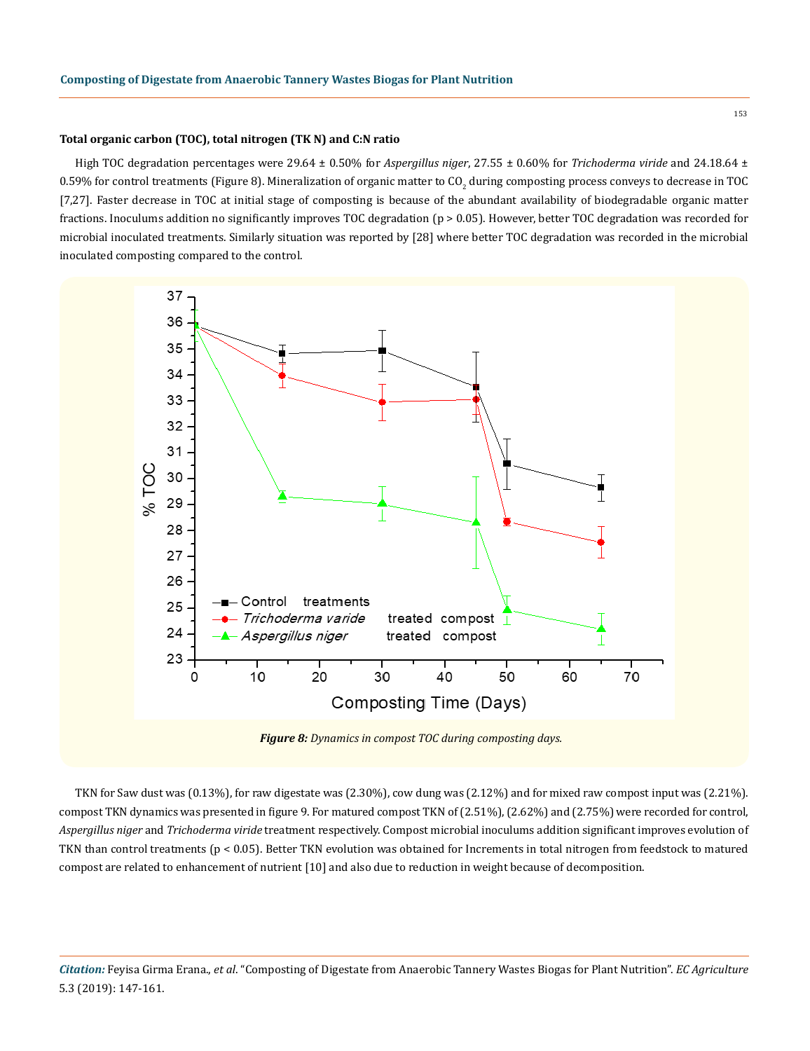### **Total organic carbon (TOC), total nitrogen (TK N) and C:N ratio**

High TOC degradation percentages were 29.64 ± 0.50% for *Aspergillus niger*, 27.55 ± 0.60% for *Trichoderma viride* and 24.18.64 ± 0.59% for control treatments (Figure 8). Mineralization of organic matter to CO<sub>2</sub> during composting process conveys to decrease in TOC [7,27]. Faster decrease in TOC at initial stage of composting is because of the abundant availability of biodegradable organic matter fractions. Inoculums addition no significantly improves TOC degradation (p > 0.05). However, better TOC degradation was recorded for microbial inoculated treatments. Similarly situation was reported by [28] where better TOC degradation was recorded in the microbial inoculated composting compared to the control.



TKN for Saw dust was (0.13%), for raw digestate was (2.30%), cow dung was (2.12%) and for mixed raw compost input was (2.21%). compost TKN dynamics was presented in figure 9. For matured compost TKN of (2.51%), (2.62%) and (2.75%) were recorded for control, *Aspergillus niger* and *Trichoderma viride* treatment respectively. Compost microbial inoculums addition significant improves evolution of TKN than control treatments (p < 0.05). Better TKN evolution was obtained for Increments in total nitrogen from feedstock to matured compost are related to enhancement of nutrient [10] and also due to reduction in weight because of decomposition.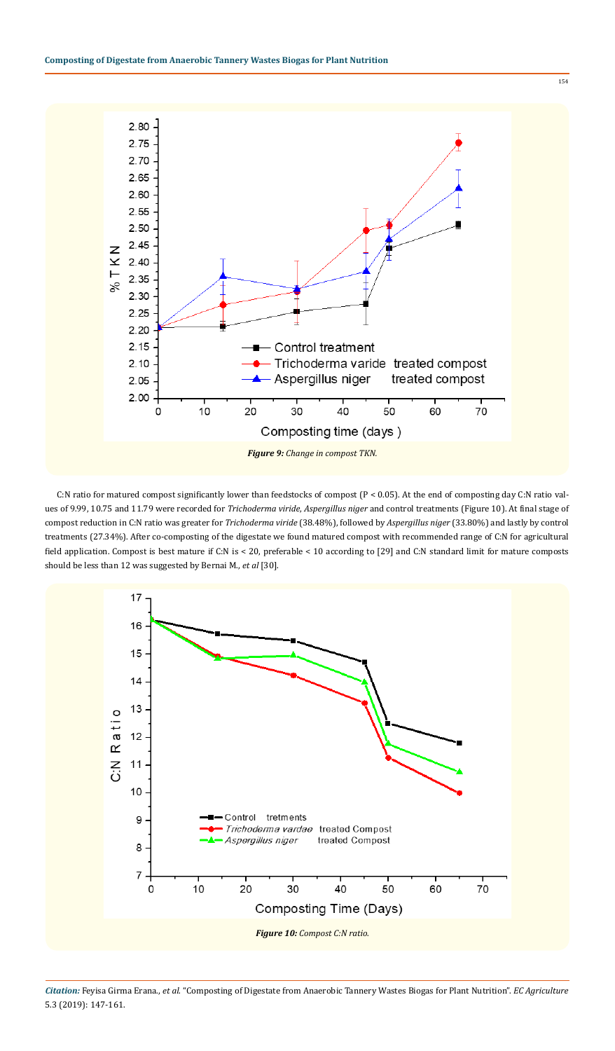

C:N ratio for matured compost significantly lower than feedstocks of compost (P < 0.05). At the end of composting day C:N ratio values of 9.99, 10.75 and 11.79 were recorded for *Trichoderma viride*, *Aspergillus niger* and control treatments (Figure 10). At final stage of compost reduction in C:N ratio was greater for *Trichoderma viride* (38.48%), followed by *Aspergillus niger* (33.80%) and lastly by control treatments (27.34%). After co-composting of the digestate we found matured compost with recommended range of C:N for agricultural field application. Compost is best mature if C:N is < 20, preferable < 10 according to [29] and C:N standard limit for mature composts should be less than 12 was suggested by Bernai M., *et al* [30].



*Citation:* Feyisa Girma Erana., *et al*. "Composting of Digestate from Anaerobic Tannery Wastes Biogas for Plant Nutrition". *EC Agriculture*  5.3 (2019): 147-161.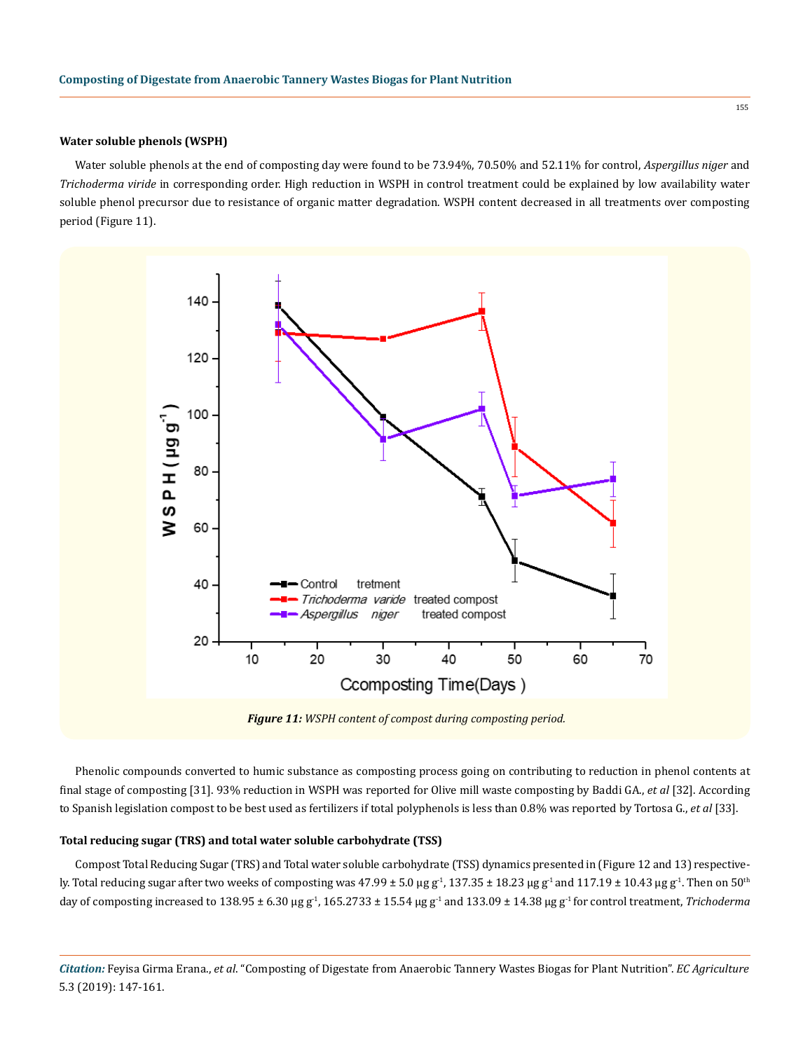### **Water soluble phenols (WSPH)**

Water soluble phenols at the end of composting day were found to be 73.94%, 70.50% and 52.11% for control, *Aspergillus niger* and *Trichoderma viride* in corresponding order. High reduction in WSPH in control treatment could be explained by low availability water soluble phenol precursor due to resistance of organic matter degradation. WSPH content decreased in all treatments over composting period (Figure 11).



*Figure 11: WSPH content of compost during composting period.*

Phenolic compounds converted to humic substance as composting process going on contributing to reduction in phenol contents at final stage of composting [31]. 93% reduction in WSPH was reported for Olive mill waste composting by Baddi GA., *et al* [32]. According to Spanish legislation compost to be best used as fertilizers if total polyphenols is less than 0.8% was reported by Tortosa G., *et al* [33].

### **Total reducing sugar (TRS) and total water soluble carbohydrate (TSS)**

Compost Total Reducing Sugar (TRS) and Total water soluble carbohydrate (TSS) dynamics presented in (Figure 12 and 13) respectively. Total reducing sugar after two weeks of composting was 47.99  $\pm$  5.0 µg g<sup>-1</sup>, 137.35  $\pm$  18.23 µg g<sup>-1</sup> and 117.19  $\pm$  10.43 µg g<sup>-1</sup>. Then on 50<sup>th</sup> day of composting increased to 138.95 ± 6.30 µg g<sup>-1</sup>, 165.2733 ± 15.54 µg g<sup>-1</sup> and 133.09 ± 14.38 µg g<sup>-1</sup> for control treatment, *Trichoderma*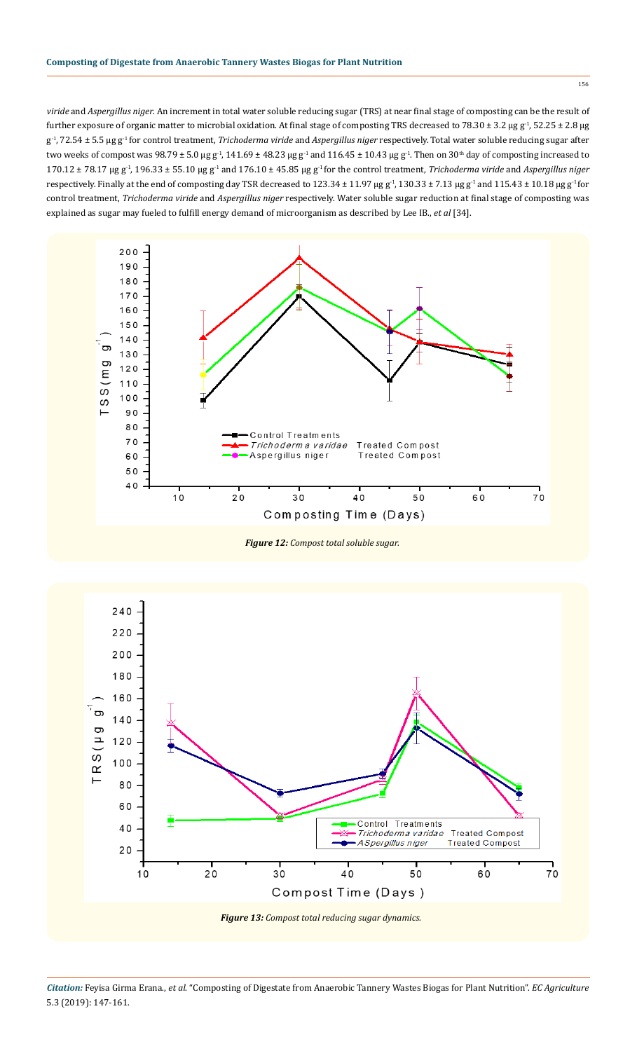*viride* and *Aspergillus niger*. An increment in total water soluble reducing sugar (TRS) at near final stage of composting can be the result of further exposure of organic matter to microbial oxidation. At final stage of composting TRS decreased to 78.30  $\pm$  3.2 µg g<sup>-1</sup>, 52.25  $\pm$  2.8 µg g-1, 72.54 ± 5.5 µg g-1 for control treatment, *Trichoderma viride* and *Aspergillus niger* respectively. Total water soluble reducing sugar after two weeks of compost was  $98.79 \pm 5.0$  µg g<sup>-1</sup>,  $141.69 \pm 48.23$  µg g<sup>-1</sup> and  $116.45 \pm 10.43$  µg g<sup>-1</sup>. Then on  $30<sup>th</sup>$  day of composting increased to 170.12 ± 78.17 µg g-1, 196.33 ± 55.10 µg g-1 and 176.10 ± 45.85 µg g-1 for the control treatment, *Trichoderma viride* and *Aspergillus niger* respectively. Finally at the end of composting day TSR decreased to 123.34 ± 11.97 µg  $g<sup>-1</sup>$ , 130.33 ± 7.13 µg  $g<sup>-1</sup>$  and 115.43 ± 10.18 µg  $g<sup>-1</sup>$  for control treatment, *Trichoderma viride* and *Aspergillus niger* respectively. Water soluble sugar reduction at final stage of composting was explained as sugar may fueled to fulfill energy demand of microorganism as described by Lee IB., *et al* [34].



*Figure 12: Compost total soluble sugar.*

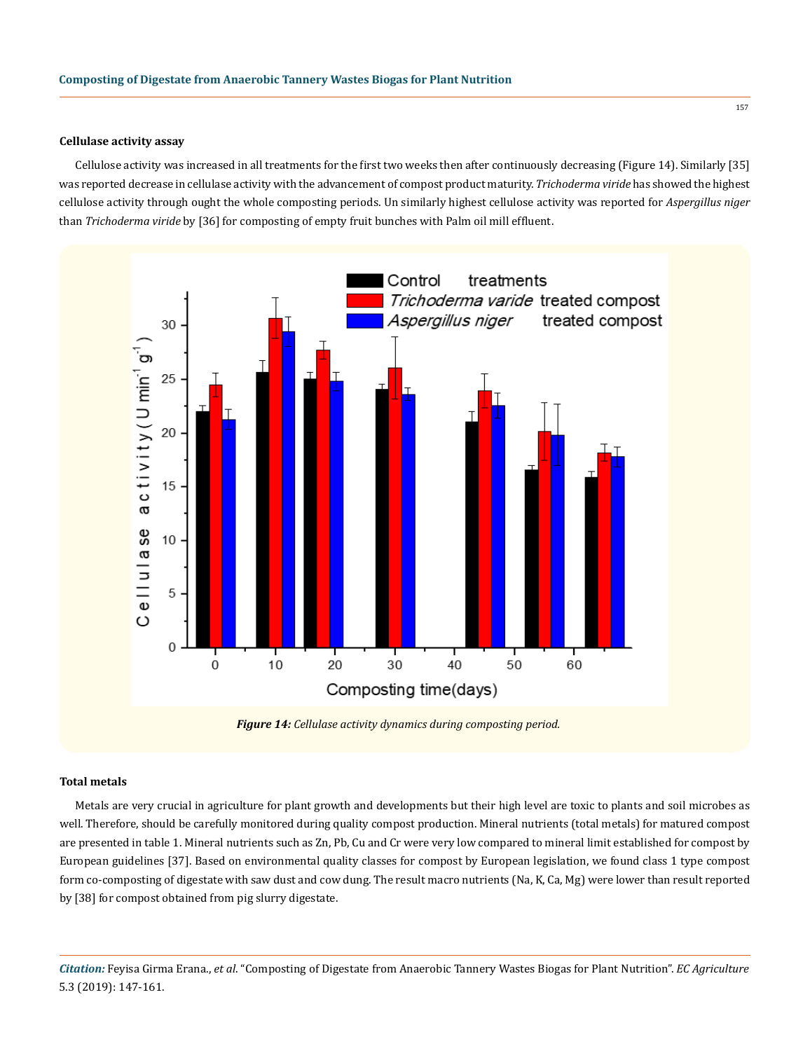### **Cellulase activity assay**

Cellulose activity was increased in all treatments for the first two weeks then after continuously decreasing (Figure 14). Similarly [35] was reported decrease in cellulase activity with the advancement of compost product maturity. *Trichoderma viride* has showed the highest cellulose activity through ought the whole composting periods. Un similarly highest cellulose activity was reported for *Aspergillus niger*  than *Trichoderma viride* by [36] for composting of empty fruit bunches with Palm oil mill effluent.



*Figure 14: Cellulase activity dynamics during composting period.*

### **Total metals**

Metals are very crucial in agriculture for plant growth and developments but their high level are toxic to plants and soil microbes as well. Therefore, should be carefully monitored during quality compost production. Mineral nutrients (total metals) for matured compost are presented in table 1. Mineral nutrients such as Zn, Pb, Cu and Cr were very low compared to mineral limit established for compost by European guidelines [37]. Based on environmental quality classes for compost by European legislation, we found class 1 type compost form co-composting of digestate with saw dust and cow dung. The result macro nutrients (Na, K, Ca, Mg) were lower than result reported by [38] for compost obtained from pig slurry digestate.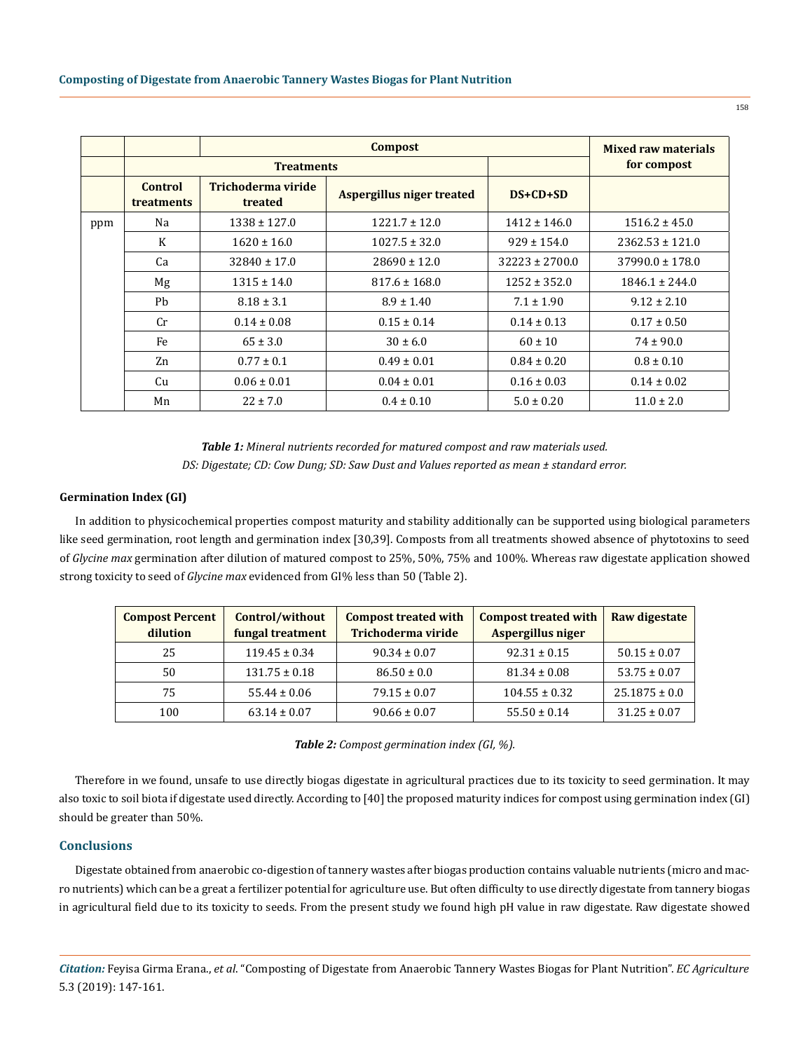|     |                              |                               | <b>Mixed raw materials</b>       |                    |                     |
|-----|------------------------------|-------------------------------|----------------------------------|--------------------|---------------------|
|     | <b>Treatments</b>            |                               |                                  |                    | for compost         |
|     | Control<br><b>treatments</b> | Trichoderma viride<br>treated | <b>Aspergillus niger treated</b> | $DS+CD+SD$         |                     |
| ppm | Na                           | $1338 \pm 127.0$              | $1221.7 \pm 12.0$                | $1412 \pm 146.0$   | $1516.2 \pm 45.0$   |
|     | K                            | $1620 \pm 16.0$               | $1027.5 \pm 32.0$                | $929 \pm 154.0$    | $2362.53 \pm 121.0$ |
|     | Ca                           | $32840 \pm 17.0$              | $28690 \pm 12.0$                 | $32223 \pm 2700.0$ | $37990.0 \pm 178.0$ |
|     | Mg                           | $1315 \pm 14.0$               | $817.6 \pm 168.0$                | $1252 \pm 352.0$   | $1846.1 \pm 244.0$  |
|     | Ph                           | $8.18 \pm 3.1$                | $8.9 \pm 1.40$                   | $7.1 \pm 1.90$     | $9.12 \pm 2.10$     |
|     | Cr.                          | $0.14 \pm 0.08$               | $0.15 \pm 0.14$                  | $0.14 \pm 0.13$    | $0.17 \pm 0.50$     |
|     | Fe                           | $65 \pm 3.0$                  | $30 \pm 6.0$                     | $60 \pm 10$        | $74 \pm 90.0$       |
|     | Zn                           | $0.77 \pm 0.1$                | $0.49 \pm 0.01$                  | $0.84 \pm 0.20$    | $0.8 \pm 0.10$      |
|     | Cu                           | $0.06 \pm 0.01$               | $0.04 \pm 0.01$                  | $0.16 \pm 0.03$    | $0.14 \pm 0.02$     |
|     | Mn                           | $22 \pm 7.0$                  | $0.4 \pm 0.10$                   | $5.0 \pm 0.20$     | $11.0 \pm 2.0$      |

*Table 1: Mineral nutrients recorded for matured compost and raw materials used. DS: Digestate; CD: Cow Dung; SD: Saw Dust and Values reported as mean ± standard error.*

### **Germination Index (GI)**

In addition to physicochemical properties compost maturity and stability additionally can be supported using biological parameters like seed germination, root length and germination index [30,39]. Composts from all treatments showed absence of phytotoxins to seed of *Glycine max* germination after dilution of matured compost to 25%, 50%, 75% and 100%. Whereas raw digestate application showed strong toxicity to seed of *Glycine max* evidenced from GI% less than 50 (Table 2).

| <b>Compost Percent</b><br>dilution | Control/without<br>fungal treatment | <b>Compost treated with</b><br>Trichoderma viride | <b>Compost treated with</b><br>Aspergillus niger | <b>Raw digestate</b> |
|------------------------------------|-------------------------------------|---------------------------------------------------|--------------------------------------------------|----------------------|
| 25                                 | $119.45 \pm 0.34$                   | $90.34 \pm 0.07$                                  | $92.31 \pm 0.15$                                 | $50.15 \pm 0.07$     |
| 50                                 | $131.75 \pm 0.18$                   | $86.50 \pm 0.0$                                   | $81.34 \pm 0.08$                                 | $53.75 \pm 0.07$     |
| 75                                 | $55.44 \pm 0.06$                    | $79.15 \pm 0.07$                                  | $104.55 \pm 0.32$                                | $25.1875 \pm 0.0$    |
| 100                                | $63.14 \pm 0.07$                    | $90.66 \pm 0.07$                                  | $55.50 \pm 0.14$                                 | $31.25 \pm 0.07$     |

*Table 2: Compost germination index (GI, %).*

Therefore in we found, unsafe to use directly biogas digestate in agricultural practices due to its toxicity to seed germination. It may also toxic to soil biota if digestate used directly. According to [40] the proposed maturity indices for compost using germination index (GI) should be greater than 50%.

### **Conclusions**

Digestate obtained from anaerobic co-digestion of tannery wastes after biogas production contains valuable nutrients (micro and macro nutrients) which can be a great a fertilizer potential for agriculture use. But often difficulty to use directly digestate from tannery biogas in agricultural field due to its toxicity to seeds. From the present study we found high pH value in raw digestate. Raw digestate showed

*Citation:* Feyisa Girma Erana., *et al*. "Composting of Digestate from Anaerobic Tannery Wastes Biogas for Plant Nutrition". *EC Agriculture*  5.3 (2019): 147-161.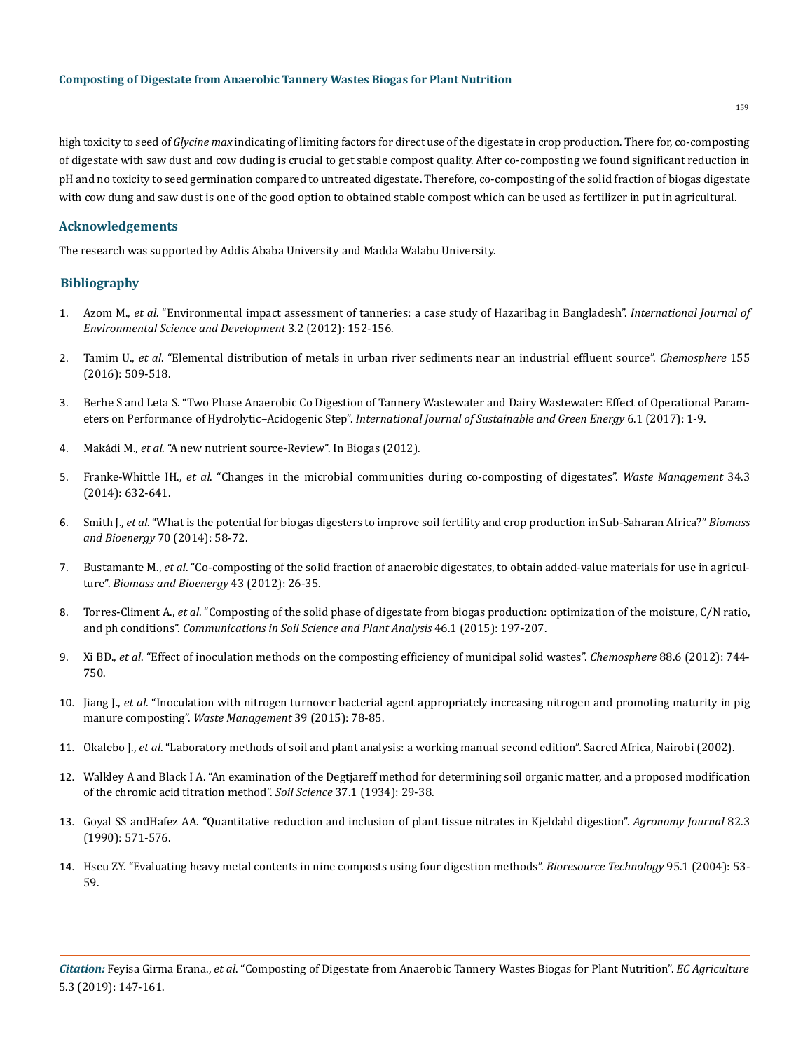high toxicity to seed of *Glycine max* indicating of limiting factors for direct use of the digestate in crop production. There for, co-composting of digestate with saw dust and cow duding is crucial to get stable compost quality. After co-composting we found significant reduction in pH and no toxicity to seed germination compared to untreated digestate. Therefore, co-composting of the solid fraction of biogas digestate with cow dung and saw dust is one of the good option to obtained stable compost which can be used as fertilizer in put in agricultural.

# **Acknowledgements**

The research was supported by Addis Ababa University and Madda Walabu University.

# **Bibliography**

- 1. Azom M., *et al*[. "Environmental impact assessment of tanneries: a case study of Hazaribag in Bangladesh".](http://www.ijesd.org/papers/206-CD0022.pdf) *International Journal of [Environmental Science and Development](http://www.ijesd.org/papers/206-CD0022.pdf)* 3.2 (2012): 152-156.
- 2. Tamim U., *et al*[. "Elemental distribution of metals in urban river sediments near an industrial effluent source".](https://www.ncbi.nlm.nih.gov/pubmed/27151427) *Chemosphere* 155 [\(2016\): 509-518.](https://www.ncbi.nlm.nih.gov/pubmed/27151427)
- 3. [Berhe S and Leta S. "Two Phase Anaerobic Co Digestion of Tannery Wastewater and Dairy Wastewater: Effect of Operational Param](http://www.sciencepublishinggroup.com/journal/paperinfo?journalid=169&doi=10.11648/j.ijrse.20170601.11)eters on Performance of Hydrolytic–Acidogenic Step". *[International Journal of Sustainable and Green Energy](http://www.sciencepublishinggroup.com/journal/paperinfo?journalid=169&doi=10.11648/j.ijrse.20170601.11)* 6.1 (2017): 1-9.
- 4. Makádi M., *et al*[. "A new nutrient source-Review". In Biogas \(2012\).](https://www.intechopen.com/books/biogas/digestate-a-new-nutrient-source-review)
- 5. Franke-Whittle IH., *et al*[. "Changes in the microbial communities during co-composting of digestates".](https://www.ncbi.nlm.nih.gov/pubmed/24456768) *Waste Management* 34.3 [\(2014\): 632-641.](https://www.ncbi.nlm.nih.gov/pubmed/24456768)
- 6. Smith J., *et al*[. "What is the potential for biogas digesters to improve soil fertility and crop production in Sub-Saharan Africa?"](https://www.sciencedirect.com/science/article/pii/S096195341400110X) *Biomass and Bioenergy* [70 \(2014\): 58-72.](https://www.sciencedirect.com/science/article/pii/S096195341400110X)
- 7. Bustamante M., *et al*[. "Co-composting of the solid fraction of anaerobic digestates, to obtain added-value materials for use in agricul](https://www.sciencedirect.com/science/article/pii/S096195341200181X)ture". *[Biomass and Bioenergy](https://www.sciencedirect.com/science/article/pii/S096195341200181X)* 43 (2012): 26-35.
- 8. Torres-Climent A., *et al*[. "Composting of the solid phase of digestate from biogas production: optimization of the moisture, C/N ratio,](https://www.tandfonline.com/doi/abs/10.1080/00103624.2014.988591) and ph conditions". *[Communications in Soil Science and Plant Analysis](https://www.tandfonline.com/doi/abs/10.1080/00103624.2014.988591)* 46.1 (2015): 197-207.
- 9. Xi BD., *et al*[. "Effect of inoculation methods on the composting efficiency of municipal solid wastes".](https://www.sciencedirect.com/science/article/pii/S0045653512005425) *Chemosphere* 88.6 (2012): 744- [750.](https://www.sciencedirect.com/science/article/pii/S0045653512005425)
- 10. Jiang J., *et al*[. "Inoculation with nitrogen turnover bacterial agent appropriately increasing nitrogen and promoting maturity in pig](https://www.ncbi.nlm.nih.gov/pubmed/25769536)  manure composting". *[Waste Management](https://www.ncbi.nlm.nih.gov/pubmed/25769536)* 39 (2015): 78-85.
- 11. Okalebo J., *et al*[. "Laboratory methods of soil and plant analysis: a working manual second edition". Sacred Africa, Nairobi \(2002\).](https://www.researchgate.net/file.PostFileLoader.html?id=5882f0c8ed99e15dce797d03&assetKey=AS%3A452837697167361%401484976328229)
- 12. [Walkley A and Black I A. "An examination of the Degtjareff method for determining soil organic matter, and a proposed modification](https://journals.lww.com/soilsci/citation/1934/01000/an_examination_of_the_degtjareff_method_for.3.aspx) [of the chromic acid titration method".](https://journals.lww.com/soilsci/citation/1934/01000/an_examination_of_the_degtjareff_method_for.3.aspx) *Soil Science* 37.1 (1934): 29-38.
- 13. [Goyal SS andHafez AA. "Quantitative reduction and inclusion of plant tissue nitrates in Kjeldahl digestion".](https://dl.sciencesocieties.org/publications/aj/abstracts/82/3/AJ0820030571) *Agronomy Journal* 82.3 [\(1990\): 571-576.](https://dl.sciencesocieties.org/publications/aj/abstracts/82/3/AJ0820030571)
- 14. [Hseu ZY. "Evaluating heavy metal contents in nine composts using four digestion methods".](https://www.sciencedirect.com/science/article/pii/S0960852404000513) *Bioresource Technology* 95.1 (2004): 53- [59.](https://www.sciencedirect.com/science/article/pii/S0960852404000513)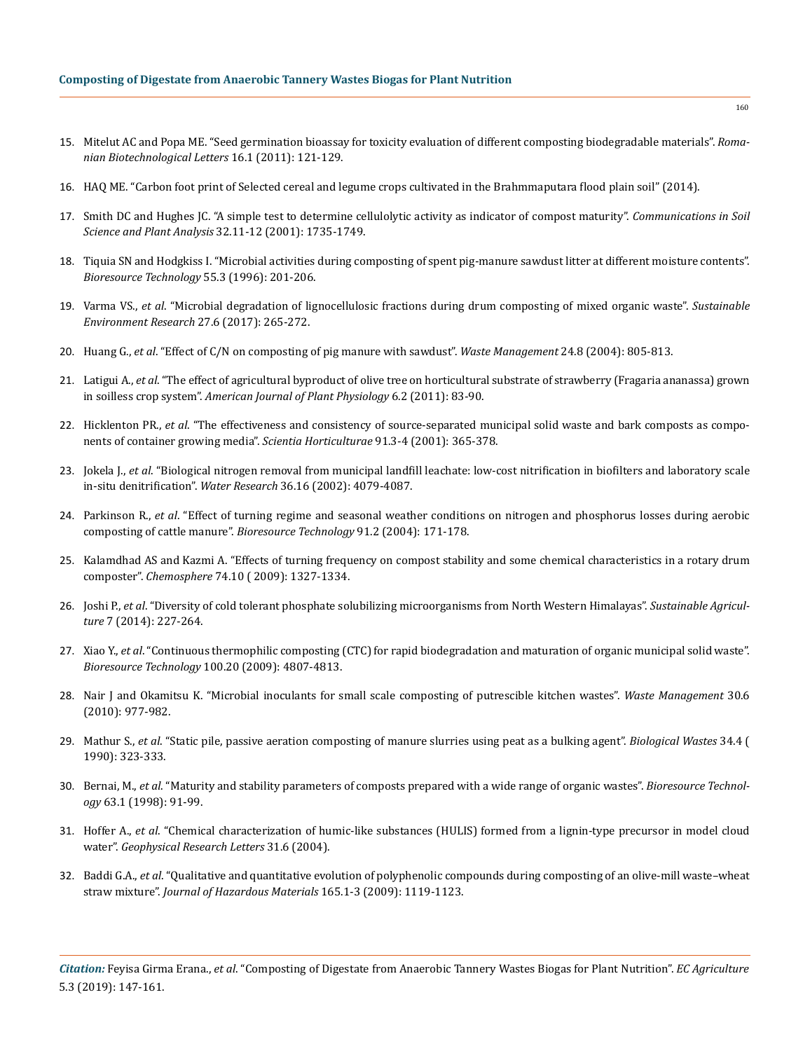- 15. [Mitelut AC and Popa ME. "Seed germination bioassay for toxicity evaluation of different composting biodegradable materials".](https://www.rombio.eu/rbl1vol16Supplement/18%20Amalia%20Mitelut.pdf) *Roma[nian Biotechnological Letters](https://www.rombio.eu/rbl1vol16Supplement/18%20Amalia%20Mitelut.pdf)* 16.1 (2011): 121-129.
- 16. [HAQ ME. "Carbon foot print of Selected cereal and legume crops cultivated in the Brahmmaputara flood plain soil" \(2014\).](https://www.researchgate.net/publication/306277898_CARBON_FOOTPRINT_OF_SELECTED_CEREAL_AND_LEGUME_CROPS_CULTIVATED_IN_THE_OLD_BRAHMAPUTRA_FLOODPLAIN_SOIL)
- 17. [Smith DC and Hughes JC. "A simple test to determine cellulolytic activity as indicator of compost maturity".](https://www.tandfonline.com/doi/abs/10.1081/CSS-120000246) *Communications in Soil [Science and Plant Analysis](https://www.tandfonline.com/doi/abs/10.1081/CSS-120000246)* 32.11-12 (2001): 1735-1749.
- 18. [Tiquia SN and Hodgkiss I. "Microbial activities during composting of spent pig-manure sawdust litter at different moisture contents".](https://www.sciencedirect.com/science/article/pii/0960852495001956)  *[Bioresource Technology](https://www.sciencedirect.com/science/article/pii/0960852495001956)* 55.3 (1996): 201-206.
- 19. Varma VS., *et al*[. "Microbial degradation of lignocellulosic fractions during drum composting of mixed organic waste".](https://www.sciencedirect.com/science/article/pii/S246820391730167X) *Sustainable [Environment Research](https://www.sciencedirect.com/science/article/pii/S246820391730167X)* 27.6 (2017): 265-272.
- 20. Huang G., *et al*[. "Effect of C/N on composting of pig manure with sawdust".](https://www.ncbi.nlm.nih.gov/pubmed/15381232) *Waste Management* 24.8 (2004): 805-813.
- 21. Latigui A., *et al*[. "The effect of agricultural byproduct of olive tree on horticultural substrate of strawberry \(Fragaria ananassa\) grown](https://scialert.net/abstract/?doi=ajpp.2011.83.90)  in soilless crop system". *[American Journal of Plant Physiology](https://scialert.net/abstract/?doi=ajpp.2011.83.90)* 6.2 (2011): 83-90.
- 22. Hicklenton PR., *et al*[. "The effectiveness and consistency of source-separated municipal solid waste and bark composts as compo](https://www.sciencedirect.com/science/article/pii/S0304423801002515)[nents of container growing media".](https://www.sciencedirect.com/science/article/pii/S0304423801002515) *Scientia Horticulturae* 91.3-4 (2001): 365-378.
- 23. Jokela J., *et al*[. "Biological nitrogen removal from municipal landfill leachate: low-cost nitrification in biofilters and laboratory scale](https://www.ncbi.nlm.nih.gov/pubmed/12405416)  in-situ denitrification". *Water Research* [36.16 \(2002\): 4079-4087.](https://www.ncbi.nlm.nih.gov/pubmed/12405416)
- 24. Parkinson R., *et al*[. "Effect of turning regime and seasonal weather conditions on nitrogen and phosphorus losses during aerobic](https://www.ncbi.nlm.nih.gov/pubmed/14592747)  [composting of cattle manure".](https://www.ncbi.nlm.nih.gov/pubmed/14592747) *Bioresource Technology* 91.2 (2004): 171-178.
- 25. [Kalamdhad AS and Kazmi A. "Effects of turning frequency on compost stability and some chemical characteristics in a rotary drum](https://www.ncbi.nlm.nih.gov/pubmed/19118861)  composter". *Chemosphere* [74.10 \( 2009\): 1327-1334.](https://www.ncbi.nlm.nih.gov/pubmed/19118861)
- 26. Joshi P., *et al*[. "Diversity of cold tolerant phosphate solubilizing microorganisms from North Western Himalayas".](https://www.researchgate.net/publication/270214168_Diversity_of_Cold_Tolerant_Phosphate_Solubilizing_Microorganisms_from_North_Western_Himalayas) *Sustainable Agriculture* [7 \(2014\): 227-264.](https://www.researchgate.net/publication/270214168_Diversity_of_Cold_Tolerant_Phosphate_Solubilizing_Microorganisms_from_North_Western_Himalayas)
- 27. Xiao Y., *et al*[. "Continuous thermophilic composting \(CTC\) for rapid biodegradation and maturation of organic municipal solid waste".](https://www.ncbi.nlm.nih.gov/pubmed/19487122)  *Bioresource Technology* [100.20 \(2009\): 4807-4813.](https://www.ncbi.nlm.nih.gov/pubmed/19487122)
- 28. [Nair J and Okamitsu K. "Microbial inoculants for small scale composting of putrescible kitchen wastes".](https://www.ncbi.nlm.nih.gov/pubmed/20207530) *Waste Management* 30.6 [\(2010\): 977-982.](https://www.ncbi.nlm.nih.gov/pubmed/20207530)
- 29. Mathur S., *et al*[. "Static pile, passive aeration composting of manure slurries using peat as a bulking agent".](https://www.sciencedirect.com/science/article/abs/pii/026974839090033O) *Biological Wastes* 34.4 ( [1990\): 323-333.](https://www.sciencedirect.com/science/article/abs/pii/026974839090033O)
- 30. Bernai, M., *et al*[. "Maturity and stability parameters of composts prepared with a wide range of organic wastes".](https://www.sciencedirect.com/science/article/pii/S0960852497000849) *Bioresource Technology* [63.1 \(1998\): 91-99.](https://www.sciencedirect.com/science/article/pii/S0960852497000849)
- 31. Hoffer A., *et al*[. "Chemical characterization of humic-like substances \(HULIS\) formed from a lignin-type precursor in model cloud](https://agupubs.onlinelibrary.wiley.com/doi/full/10.1029/2003GL018962)  water". *[Geophysical Research Letters](https://agupubs.onlinelibrary.wiley.com/doi/full/10.1029/2003GL018962)* 31.6 (2004).
- 32. Baddi G.A., *et al*[. "Qualitative and quantitative evolution of polyphenolic compounds during composting of an olive-mill waste–wheat](https://www.ncbi.nlm.nih.gov/pubmed/19070426)  straw mixture". *[Journal of Hazardous Materials](https://www.ncbi.nlm.nih.gov/pubmed/19070426)* 165.1-3 (2009): 1119-1123.